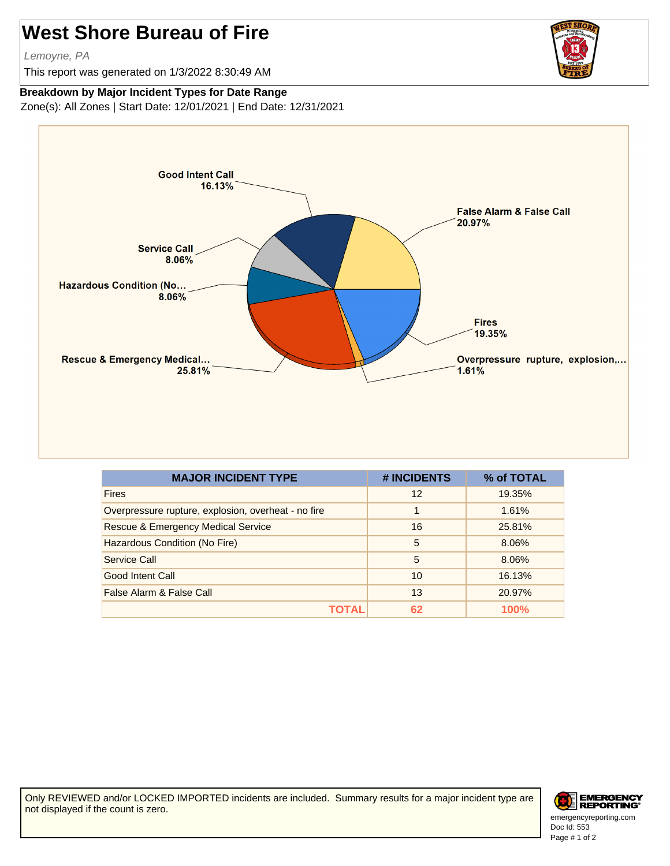## **West Shore Bureau of Fire**

Lemoyne, PA

This report was generated on 1/3/2022 8:30:49 AM



## **Breakdown by Major Incident Types for Date Range**

Zone(s): All Zones | Start Date: 12/01/2021 | End Date: 12/31/2021



| <b>MAJOR INCIDENT TYPE</b>                          | # INCIDENTS | % of TOTAL |
|-----------------------------------------------------|-------------|------------|
| <b>Fires</b>                                        | 12          | 19.35%     |
| Overpressure rupture, explosion, overheat - no fire | 1           | 1.61%      |
| <b>Rescue &amp; Emergency Medical Service</b>       | 16          | 25.81%     |
| Hazardous Condition (No Fire)                       | 5           | 8.06%      |
| Service Call                                        | 5           | 8.06%      |
| Good Intent Call                                    | 10          | 16.13%     |
| False Alarm & False Call                            | 13          | 20.97%     |
| τοται                                               | 62          | 100%       |

Only REVIEWED and/or LOCKED IMPORTED incidents are included. Summary results for a major incident type are not displayed if the count is zero.



Doc Id: 553 emergencyreporting.com Page # 1 of 2